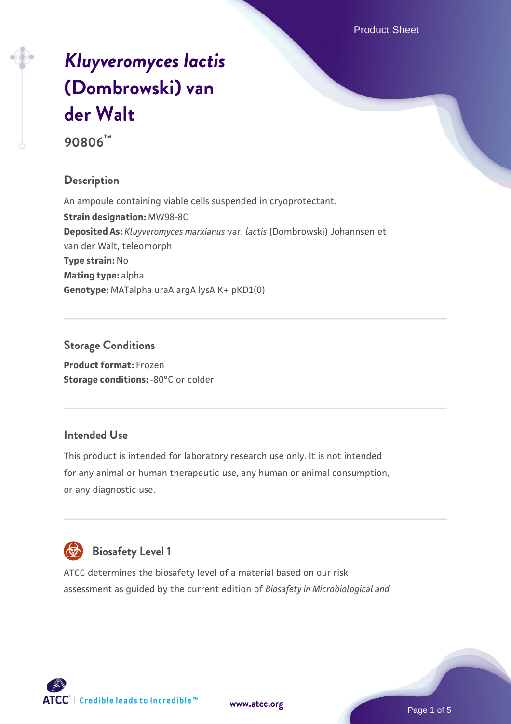# *[Kluyveromyces lactis](https://www.atcc.org/products/90806)* **[\(Dombrowski\) van](https://www.atcc.org/products/90806) [der Walt](https://www.atcc.org/products/90806)**

**90806™**

# **Description**

An ampoule containing viable cells suspended in cryoprotectant. **Strain designation:** MW98-8C **Deposited As:** *Kluyveromyces marxianus* var. *lactis* (Dombrowski) Johannsen et van der Walt, teleomorph **Type strain:** No **Mating type:** alpha **Genotype:** MATalpha uraA argA lysA K+ pKD1(0)

#### **Storage Conditions**

**Product format:** Frozen **Storage conditions: -80°C or colder** 

# **Intended Use**

This product is intended for laboratory research use only. It is not intended for any animal or human therapeutic use, any human or animal consumption, or any diagnostic use.



# **Biosafety Level 1**

ATCC determines the biosafety level of a material based on our risk assessment as guided by the current edition of *Biosafety in Microbiological and*

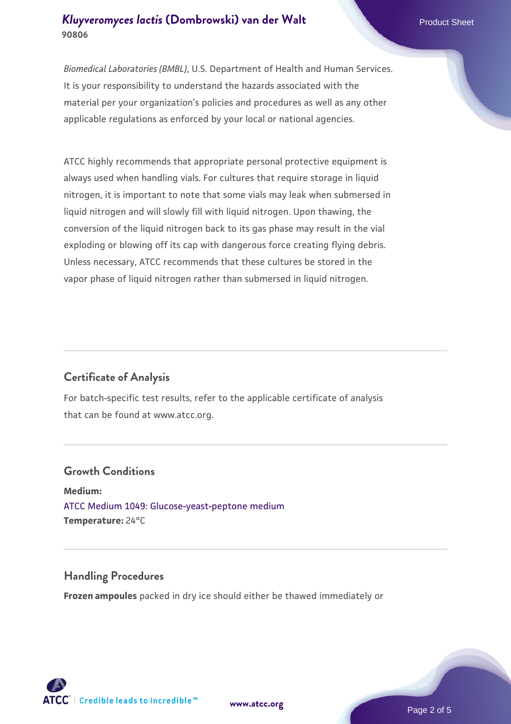#### *[Kluyveromyces lactis](https://www.atcc.org/products/90806)* **[\(Dombrowski\) van der Walt](https://www.atcc.org/products/90806)** Product Sheet **90806**

*Biomedical Laboratories (BMBL)*, U.S. Department of Health and Human Services. It is your responsibility to understand the hazards associated with the material per your organization's policies and procedures as well as any other applicable regulations as enforced by your local or national agencies.

ATCC highly recommends that appropriate personal protective equipment is always used when handling vials. For cultures that require storage in liquid nitrogen, it is important to note that some vials may leak when submersed in liquid nitrogen and will slowly fill with liquid nitrogen. Upon thawing, the conversion of the liquid nitrogen back to its gas phase may result in the vial exploding or blowing off its cap with dangerous force creating flying debris. Unless necessary, ATCC recommends that these cultures be stored in the vapor phase of liquid nitrogen rather than submersed in liquid nitrogen.

# **Certificate of Analysis**

For batch-specific test results, refer to the applicable certificate of analysis that can be found at www.atcc.org.

#### **Growth Conditions**

**Medium:**  [ATCC Medium 1049: Glucose-yeast-peptone medium](https://www.atcc.org/-/media/product-assets/documents/microbial-media-formulations/atcc-medium-1049.pdf?rev=782888acdc004ecfa9dcc3e757b0b85a) **Temperature:** 24°C

#### **Handling Procedures**

**Frozen ampoules** packed in dry ice should either be thawed immediately or



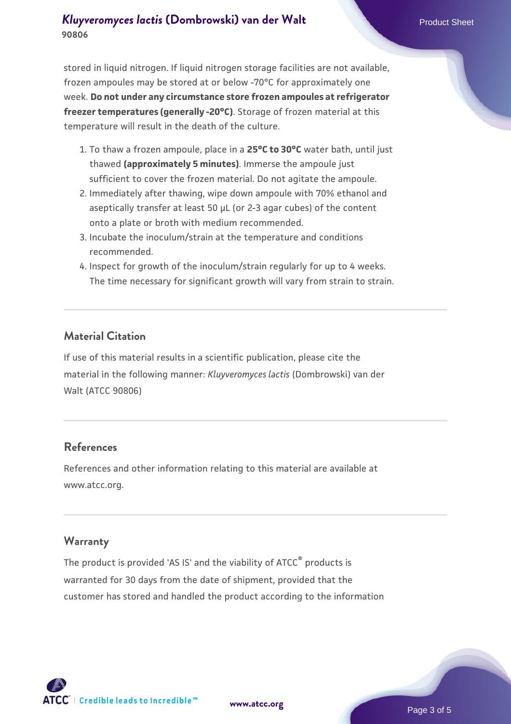#### *[Kluyveromyces lactis](https://www.atcc.org/products/90806)* **[\(Dombrowski\) van der Walt](https://www.atcc.org/products/90806)** Product Sheet **90806**

stored in liquid nitrogen. If liquid nitrogen storage facilities are not available, frozen ampoules may be stored at or below -70°C for approximately one week. **Do not under any circumstance store frozen ampoules at refrigerator freezer temperatures (generally -20°C)**. Storage of frozen material at this temperature will result in the death of the culture.

- 1. To thaw a frozen ampoule, place in a **25°C to 30°C** water bath, until just thawed **(approximately 5 minutes)**. Immerse the ampoule just sufficient to cover the frozen material. Do not agitate the ampoule.
- 2. Immediately after thawing, wipe down ampoule with 70% ethanol and aseptically transfer at least 50 µL (or 2-3 agar cubes) of the content onto a plate or broth with medium recommended.
- 3. Incubate the inoculum/strain at the temperature and conditions recommended.
- 4. Inspect for growth of the inoculum/strain regularly for up to 4 weeks. The time necessary for significant growth will vary from strain to strain.

#### **Material Citation**

If use of this material results in a scientific publication, please cite the material in the following manner: *Kluyveromyces lactis* (Dombrowski) van der Walt (ATCC 90806)

#### **References**

References and other information relating to this material are available at www.atcc.org.

#### **Warranty**

The product is provided 'AS IS' and the viability of ATCC® products is warranted for 30 days from the date of shipment, provided that the customer has stored and handled the product according to the information

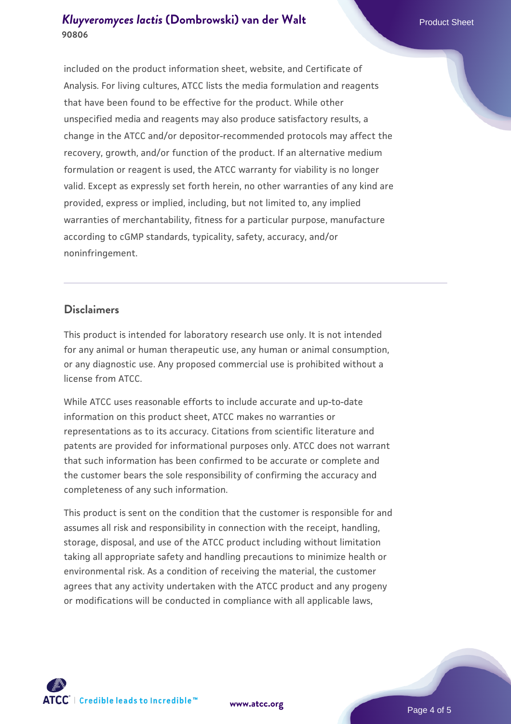## *[Kluyveromyces lactis](https://www.atcc.org/products/90806)* **[\(Dombrowski\) van der Walt](https://www.atcc.org/products/90806)** Product Sheet **90806**

included on the product information sheet, website, and Certificate of Analysis. For living cultures, ATCC lists the media formulation and reagents that have been found to be effective for the product. While other unspecified media and reagents may also produce satisfactory results, a change in the ATCC and/or depositor-recommended protocols may affect the recovery, growth, and/or function of the product. If an alternative medium formulation or reagent is used, the ATCC warranty for viability is no longer valid. Except as expressly set forth herein, no other warranties of any kind are provided, express or implied, including, but not limited to, any implied warranties of merchantability, fitness for a particular purpose, manufacture according to cGMP standards, typicality, safety, accuracy, and/or noninfringement.

#### **Disclaimers**

This product is intended for laboratory research use only. It is not intended for any animal or human therapeutic use, any human or animal consumption, or any diagnostic use. Any proposed commercial use is prohibited without a license from ATCC.

While ATCC uses reasonable efforts to include accurate and up-to-date information on this product sheet, ATCC makes no warranties or representations as to its accuracy. Citations from scientific literature and patents are provided for informational purposes only. ATCC does not warrant that such information has been confirmed to be accurate or complete and the customer bears the sole responsibility of confirming the accuracy and completeness of any such information.

This product is sent on the condition that the customer is responsible for and assumes all risk and responsibility in connection with the receipt, handling, storage, disposal, and use of the ATCC product including without limitation taking all appropriate safety and handling precautions to minimize health or environmental risk. As a condition of receiving the material, the customer agrees that any activity undertaken with the ATCC product and any progeny or modifications will be conducted in compliance with all applicable laws,

**[www.atcc.org](http://www.atcc.org)**

Page 4 of 5